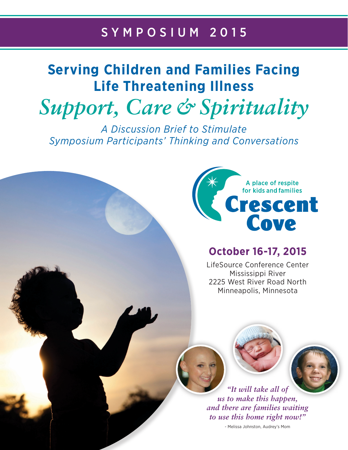# SYMPOSIUM 2015

# **Serving Children and Families Facing Life Threatening Illness**

*Support, Care & Spirituality*

*A Discussion Brief to Stimulate Symposium Participants' Thinking and Conversations*



# **October 16-17, 2015**

LifeSource Conference Center Mississippi River 2225 West River Road North Minneapolis, Minnesota



*"It will take all of us to make this happen, and there are families waiting to use this home right now!"* 

- Melissa Johnston, Audrey's Mom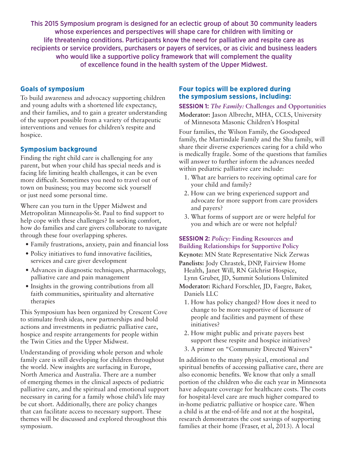This 2015 Symposium program is designed for an eclectic group of about 30 community leaders whose experiences and perspectives will shape care for children with limiting or life threatening conditions. Participants know the need for palliative and respite care as recipients or service providers, purchasers or payers of services, or as civic and business leaders who would like a supportive policy framework that will complement the quality of excellence found in the health system of the Upper Midwest.

### **Goals of symposium**

To build awareness and advocacy supporting children and young adults with a shortened life expectancy, and their families, and to gain a greater understanding of the support possible from a variety of therapeutic interventions and venues for children's respite and hospice.

## **Symposium background**

Finding the right child care is challenging for any parent, but when your child has special needs and is facing life limiting health challenges, it can be even more difficult. Sometimes you need to travel out of town on business; you may become sick yourself or just need some personal time.

Where can you turn in the Upper Midwest and Metropolitan Minneapolis-St. Paul to find support to help cope with these challenges? In seeking comfort, how do families and care givers collaborate to navigate through these four overlapping spheres.

- Family frustrations, anxiety, pain and financial loss
- Policy initiatives to fund innovative facilities, services and care giver development
- Advances in diagnostic techniques, pharmacology, palliative care and pain management
- Insights in the growing contributions from all faith communities, spirituality and alternative therapies

This Symposium has been organized by Crescent Cove to stimulate fresh ideas, new partnerships and bold actions and investments in pediatric palliative care, hospice and respite arrangements for people within the Twin Cities and the Upper Midwest.

Understanding of providing whole person and whole family care is still developing for children throughout the world. New insights are surfacing in Europe, North America and Australia. There are a number of emerging themes in the clinical aspects of pediatric palliative care, and the spiritual and emotional support necessary in caring for a family whose child's life may be cut short. Additionally, there are policy changes that can facilitate access to necessary support. These themes will be discussed and explored throughout this symposium.

### **Four topics will be explored during the symposium sessions, including:**

#### **SESSION 1:** *The Family:* **Challenges and Opportunities**

**Moderator:** Jason Albrecht, MHA, CCLS, University of Minnesota Masonic Children's Hospital

Four families, the Wilson Family, the Goodspeed family, the Martindale Family and the Shu family, will share their diverse experiences caring for a child who is medically fragile. Some of the questions that families will answer to further inform the advances needed within pediatric palliative care include:

- 1. What are barriers to receiving optimal care for your child and family?
- 2. How can we bring experienced support and advocate for more support from care providers and payers?
- 3. What forms of support are or were helpful for you and which are or were not helpful?

# **SESSION 2:** *Policy:* **Finding Resources and Building Relationships for Supportive Policy**

**Keynote:** MN State Representative Nick Zerwas

**Panelists:** Jody Chrastek, DNP, Fairview Home Health, Janet Will, RN Gilchrist Hospice, Lynn Gruber, JD, Summit Solutions Unlimited

**Moderator:** Richard Forschler, JD, Faegre, Baker, Daniels LLC

- 1. How has policy changed? How does it need to change to be more supportive of licensure of people and facilities and payment of these initiatives?
- 2. How might public and private payers best support these respite and hospice initiatives?
- 3. A primer on "Community Directed Waivers"

In addition to the many physical, emotional and spiritual benefits of accessing palliative care, there are also economic benefits. We know that only a small portion of the children who die each year in Minnesota have adequate coverage for healthcare costs. The costs for hospital-level care are much higher compared to in-home pediatric palliative or hospice care. When a child is at the end-of-life and not at the hospital, research demonstrates the cost savings of supporting families at their home (Fraser, et al, 2013). A local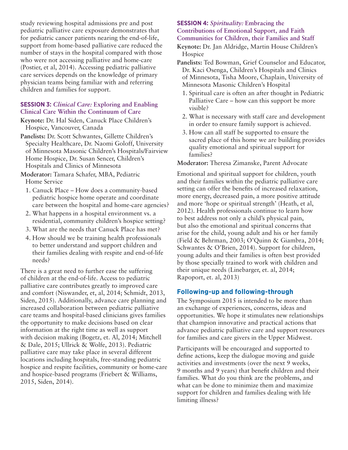study reviewing hospital admissions pre and post pediatric palliative care exposure demonstrates that for pediatric cancer patients nearing the end-of-life, support from home-based palliative care reduced the number of stays in the hospital compared with those who were not accessing palliative and home-care (Postier, et al, 2014). Accessing pediatric palliative care services depends on the knowledge of primary physician teams being familiar with and referring children and families for support.

#### **SESSION 3:** *Clinical Care:* **Exploring and Enabling Clinical Care Within the Continuum of Care**

- **Keynote:** Dr. Hal Siden, Canuck Place Children's Hospice, Vancouver, Canada
- **Panelists:** Dr. Scott Schwantes, Gillette Children's Specialty Healthcare, Dr. Naomi Goloff, University of Minnesota Masonic Children's Hospitals/Fairview Home Hospice, Dr. Susan Sencer, Children's Hospitals and Clinics of Minnesota
- **Moderator:** Tamara Schafer, MBA, Pediatric Home Service
	- 1. Canuck Place How does a community-based pediatric hospice home operate and coordinate care between the hospital and home-care agencies?
	- 2. What happens in a hospital environment vs. a residential, community children's hospice setting?
	- 3. What are the needs that Canuck Place has met?
	- 4. How should we be training health professionals to better understand and support children and their families dealing with respite and end-of-life needs?

There is a great need to further ease the suffering of children at the end-of-life. Access to pediatric palliative care contributes greatly to improved care and comfort (Niswander, et, al, 2014; Schmidt, 2013, Siden, 2015). Additionally, advance care planning and increased collaboration between pediatric palliative care teams and hospital-based clinicians gives families the opportunity to make decisions based on clear information at the right time as well as support with decision making (Bogetz, et. Al, 2014; Mitchell & Dale, 2015; Ullrick & Wolfe, 2013). Pediatric palliative care may take place in several different locations including hospitals, free-standing pediatric hospice and respite facilities, community or home-care and hospice-based programs (Friebert & Williams, 2015, Siden, 2014).

#### **SESSION 4:** *Spirituality:* **Embracing the Contributions of Emotional Support, and Faith Communities for Children, their Families and Staff**

**Keynote:** Dr. Jan Aldridge, Martin House Children's **Hospice** 

- **Panelists:** Ted Bowman, Grief Counselor and Educator, Dr. Kaci Osenga, Children's Hospitals and Clinics of Minnesota, Tisha Moore, Chaplain, University of Minnesota Masonic Children's Hospital
	- 1. Spiritual care is often an after thought in Pediatric Palliative Care – how can this support be more visible?
	- 2. What is necessary with staff care and development in order to ensure family support is achieved.
	- 3. How can all staff be supported to ensure the sacred place of this home we are building provides quality emotional and spiritual support for families?

#### **Moderator:** Theresa Zimanske, Parent Advocate

Emotional and spiritual support for children, youth and their families within the pediatric palliative care setting can offer the benefits of increased relaxation, more energy, decreased pain, a more positive attitude and more 'hope or spiritual strength' (Heath, et al, 2012). Health professionals continue to learn how to best address not only a child's physical pain, but also the emotional and spiritual concerns that arise for the child, young adult and his or her family (Field & Behrman, 2003; O'Quinn & Giambra, 2014; Schwantes & O'Brien, 2014). Support for children, young adults and their families is often best provided by those specially trained to work with children and their unique needs (Linebarger, et. al, 2014; Rapoport, et. al, 2013)

#### **Following-up and following-through**

The Symposium 2015 is intended to be more than an exchange of experiences, concerns, ideas and opportunities. We hope it stimulates new relationships that champion innovative and practical actions that advance pediatric palliative care and support resources for families and care givers in the Upper Midwest.

Participants will be encouraged and supported to define actions, keep the dialogue moving and guide activities and investments (over the next 9 weeks, 9 months and 9 years) that benefit children and their families. What do you think are the problems, and what can be done to minimize them and maximize support for children and families dealing with life limiting illness?